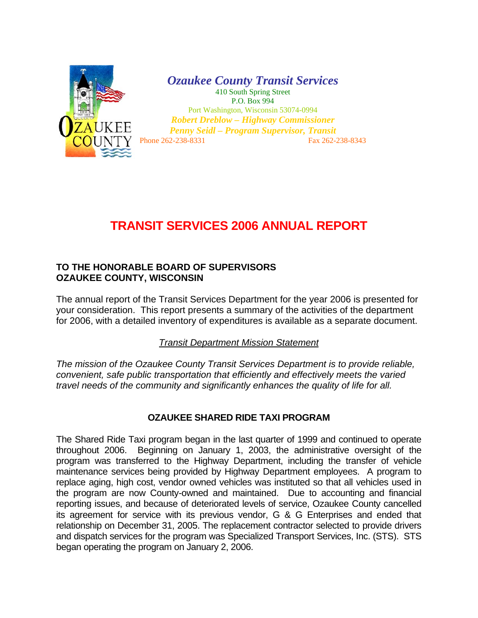

*Ozaukee County Transit Services*  410 South Spring Street P.O. Box 994 Port Washington, Wisconsin 53074-0994

*Robert Dreblow – Highway Commissioner Penny Seidl – Program Supervisor, Transit*  Phone 262-238-8331 Fax 262-238-8343

# **TRANSIT SERVICES 2006 ANNUAL REPORT**

### **TO THE HONORABLE BOARD OF SUPERVISORS OZAUKEE COUNTY, WISCONSIN**

The annual report of the Transit Services Department for the year 2006 is presented for your consideration. This report presents a summary of the activities of the department for 2006, with a detailed inventory of expenditures is available as a separate document.

## *Transit Department Mission Statement*

*The mission of the Ozaukee County Transit Services Department is to provide reliable, convenient, safe public transportation that efficiently and effectively meets the varied travel needs of the community and significantly enhances the quality of life for all.* 

## **OZAUKEE SHARED RIDE TAXI PROGRAM**

The Shared Ride Taxi program began in the last quarter of 1999 and continued to operate throughout 2006. Beginning on January 1, 2003, the administrative oversight of the program was transferred to the Highway Department, including the transfer of vehicle maintenance services being provided by Highway Department employees. A program to replace aging, high cost, vendor owned vehicles was instituted so that all vehicles used in the program are now County-owned and maintained. Due to accounting and financial reporting issues, and because of deteriorated levels of service, Ozaukee County cancelled its agreement for service with its previous vendor, G & G Enterprises and ended that relationship on December 31, 2005. The replacement contractor selected to provide drivers and dispatch services for the program was Specialized Transport Services, Inc. (STS). STS began operating the program on January 2, 2006.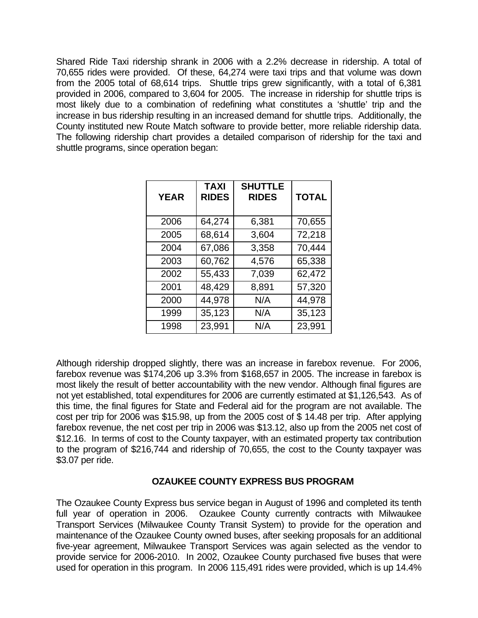Shared Ride Taxi ridership shrank in 2006 with a 2.2% decrease in ridership. A total of 70,655 rides were provided. Of these, 64,274 were taxi trips and that volume was down from the 2005 total of 68,614 trips. Shuttle trips grew significantly, with a total of 6,381 provided in 2006, compared to 3,604 for 2005. The increase in ridership for shuttle trips is most likely due to a combination of redefining what constitutes a 'shuttle' trip and the increase in bus ridership resulting in an increased demand for shuttle trips. Additionally, the County instituted new Route Match software to provide better, more reliable ridership data. The following ridership chart provides a detailed comparison of ridership for the taxi and shuttle programs, since operation began:

| <b>YEAR</b> | <b>TAXI</b><br><b>RIDES</b> | <b>SHUTTLE</b><br><b>RIDES</b> | <b>TOTAL</b> |
|-------------|-----------------------------|--------------------------------|--------------|
| 2006        | 64,274                      | 6,381                          | 70,655       |
| 2005        | 68,614                      | 3,604                          | 72,218       |
| 2004        | 67,086                      | 3,358                          | 70,444       |
| 2003        | 60,762                      | 4,576                          | 65,338       |
| 2002        | 55,433                      | 7,039                          | 62,472       |
| 2001        | 48,429                      | 8,891                          | 57,320       |
| 2000        | 44,978                      | N/A                            | 44,978       |
| 1999        | 35,123                      | N/A                            | 35,123       |
| 1998        | 23,991                      | N/A                            | 23,991       |

Although ridership dropped slightly, there was an increase in farebox revenue. For 2006, farebox revenue was \$174,206 up 3.3% from \$168,657 in 2005. The increase in farebox is most likely the result of better accountability with the new vendor. Although final figures are not yet established, total expenditures for 2006 are currently estimated at \$1,126,543. As of this time, the final figures for State and Federal aid for the program are not available. The cost per trip for 2006 was \$15.98, up from the 2005 cost of \$ 14.48 per trip. After applying farebox revenue, the net cost per trip in 2006 was \$13.12, also up from the 2005 net cost of \$12.16. In terms of cost to the County taxpayer, with an estimated property tax contribution to the program of \$216,744 and ridership of 70,655, the cost to the County taxpayer was \$3.07 per ride.

## **OZAUKEE COUNTY EXPRESS BUS PROGRAM**

The Ozaukee County Express bus service began in August of 1996 and completed its tenth full year of operation in 2006. Ozaukee County currently contracts with Milwaukee Transport Services (Milwaukee County Transit System) to provide for the operation and maintenance of the Ozaukee County owned buses, after seeking proposals for an additional five-year agreement, Milwaukee Transport Services was again selected as the vendor to provide service for 2006-2010. In 2002, Ozaukee County purchased five buses that were used for operation in this program. In 2006 115,491 rides were provided, which is up 14.4%